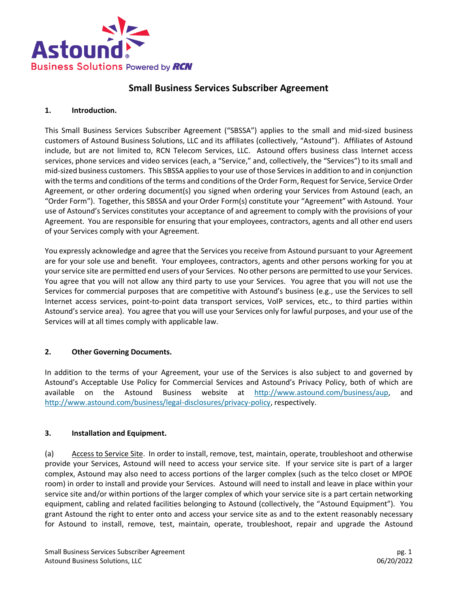

# **Small Business Services Subscriber Agreement**

#### **1. Introduction.**

This Small Business Services Subscriber Agreement ("SBSSA") applies to the small and mid-sized business customers of Astound Business Solutions, LLC and its affiliates (collectively, "Astound"). Affiliates of Astound include, but are not limited to, RCN Telecom Services, LLC. Astound offers business class Internet access services, phone services and video services (each, a "Service," and, collectively, the "Services") to its small and mid-sized business customers. This SBSSA applies to your use of those Services in addition to and in conjunction with the terms and conditions of the terms and conditions of the Order Form, Request for Service, Service Order Agreement, or other ordering document(s) you signed when ordering your Services from Astound (each, an "Order Form"). Together, this SBSSA and your Order Form(s) constitute your "Agreement" with Astound. Your use of Astound's Services constitutes your acceptance of and agreement to comply with the provisions of your Agreement. You are responsible for ensuring that your employees, contractors, agents and all other end users of your Services comply with your Agreement.

You expressly acknowledge and agree that the Services you receive from Astound pursuant to your Agreement are for your sole use and benefit. Your employees, contractors, agents and other persons working for you at your service site are permitted end users of your Services. No other persons are permitted to use your Services. You agree that you will not allow any third party to use your Services. You agree that you will not use the Services for commercial purposes that are competitive with Astound's business (e.g., use the Services to sell Internet access services, point-to-point data transport services, VoIP services, etc., to third parties within Astound's service area). You agree that you will use your Services only for lawful purposes, and your use of the Services will at all times comply with applicable law.

#### **2. Other Governing Documents.**

In addition to the terms of your Agreement, your use of the Services is also subject to and governed by Astound's Acceptable Use Policy for Commercial Services and Astound's Privacy Policy, both of which are available on the Astound Business website at [http://www.astound.com/business/aup,](http://www.astound.com/business/aup) and [http://www.astound.com/business/legal-disclosures/privacy-policy,](http://www.astound.com/business/legal-disclosures/privacy-policy) respectively.

#### **3. Installation and Equipment.**

(a) Access to Service Site. In order to install, remove, test, maintain, operate, troubleshoot and otherwise provide your Services, Astound will need to access your service site. If your service site is part of a larger complex, Astound may also need to access portions of the larger complex (such as the telco closet or MPOE room) in order to install and provide your Services. Astound will need to install and leave in place within your service site and/or within portions of the larger complex of which your service site is a part certain networking equipment, cabling and related facilities belonging to Astound (collectively, the "Astound Equipment"). You grant Astound the right to enter onto and access your service site as and to the extent reasonably necessary for Astound to install, remove, test, maintain, operate, troubleshoot, repair and upgrade the Astound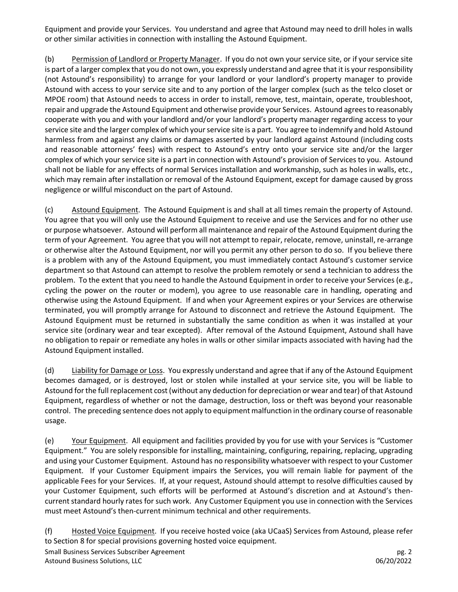Equipment and provide your Services. You understand and agree that Astound may need to drill holes in walls or other similar activities in connection with installing the Astound Equipment.

(b) Permission of Landlord or Property Manager. If you do not own your service site, or if your service site is part of a larger complex that you do not own, you expressly understand and agree that it is your responsibility (not Astound's responsibility) to arrange for your landlord or your landlord's property manager to provide Astound with access to your service site and to any portion of the larger complex (such as the telco closet or MPOE room) that Astound needs to access in order to install, remove, test, maintain, operate, troubleshoot, repair and upgrade the Astound Equipment and otherwise provide your Services. Astound agrees to reasonably cooperate with you and with your landlord and/or your landlord's property manager regarding access to your service site and the larger complex of which your service site is a part. You agree to indemnify and hold Astound harmless from and against any claims or damages asserted by your landlord against Astound (including costs and reasonable attorneys' fees) with respect to Astound's entry onto your service site and/or the larger complex of which your service site is a part in connection with Astound's provision of Services to you. Astound shall not be liable for any effects of normal Services installation and workmanship, such as holes in walls, etc., which may remain after installation or removal of the Astound Equipment, except for damage caused by gross negligence or willful misconduct on the part of Astound.

(c) Astound Equipment. The Astound Equipment is and shall at all times remain the property of Astound. You agree that you will only use the Astound Equipment to receive and use the Services and for no other use or purpose whatsoever. Astound will perform all maintenance and repair of the Astound Equipment during the term of your Agreement. You agree that you will not attempt to repair, relocate, remove, uninstall, re-arrange or otherwise alter the Astound Equipment, nor will you permit any other person to do so. If you believe there is a problem with any of the Astound Equipment, you must immediately contact Astound's customer service department so that Astound can attempt to resolve the problem remotely or send a technician to address the problem. To the extent that you need to handle the Astound Equipment in order to receive your Services (e.g., cycling the power on the router or modem), you agree to use reasonable care in handling, operating and otherwise using the Astound Equipment. If and when your Agreement expires or your Services are otherwise terminated, you will promptly arrange for Astound to disconnect and retrieve the Astound Equipment. The Astound Equipment must be returned in substantially the same condition as when it was installed at your service site (ordinary wear and tear excepted). After removal of the Astound Equipment, Astound shall have no obligation to repair or remediate any holes in walls or other similar impacts associated with having had the Astound Equipment installed.

(d) Liability for Damage or Loss. You expressly understand and agree that if any of the Astound Equipment becomes damaged, or is destroyed, lost or stolen while installed at your service site, you will be liable to Astound for the full replacement cost (without any deduction for depreciation or wear and tear) of that Astound Equipment, regardless of whether or not the damage, destruction, loss or theft was beyond your reasonable control. The preceding sentence does not apply to equipment malfunction in the ordinary course of reasonable usage.

(e) Your Equipment. All equipment and facilities provided by you for use with your Services is "Customer Equipment." You are solely responsible for installing, maintaining, configuring, repairing, replacing, upgrading and using your Customer Equipment. Astound has no responsibility whatsoever with respect to your Customer Equipment. If your Customer Equipment impairs the Services, you will remain liable for payment of the applicable Fees for your Services. If, at your request, Astound should attempt to resolve difficulties caused by your Customer Equipment, such efforts will be performed at Astound's discretion and at Astound's thencurrent standard hourly rates for such work. Any Customer Equipment you use in connection with the Services must meet Astound's then-current minimum technical and other requirements.

Small Business Services Subscriber Agreement pg. 2 Astound Business Solutions, LLC 06/20/2022 (f) Hosted Voice Equipment. If you receive hosted voice (aka UCaaS) Services from Astound, please refer to Section 8 for special provisions governing hosted voice equipment.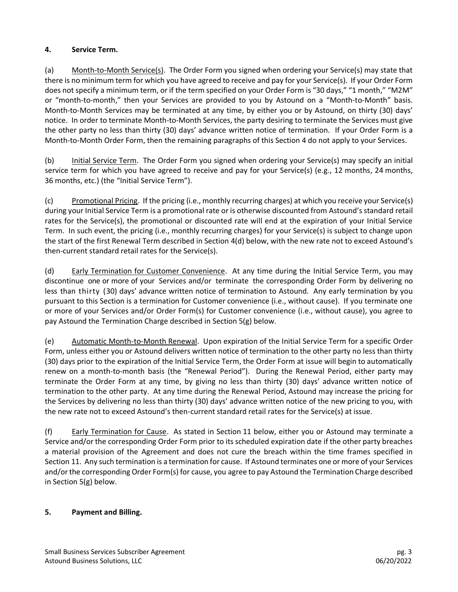## **4. Service Term.**

(a) Month-to-Month Service(s). The Order Form you signed when ordering your Service(s) may state that there is no minimum term for which you have agreed to receive and pay for your Service(s). If your Order Form does not specify a minimum term, or if the term specified on your Order Form is "30 days," "1 month," "M2M" or "month-to-month," then your Services are provided to you by Astound on a "Month-to-Month" basis. Month-to-Month Services may be terminated at any time, by either you or by Astound, on thirty (30) days' notice. In order to terminate Month-to-Month Services, the party desiring to terminate the Services must give the other party no less than thirty (30) days' advance written notice of termination. If your Order Form is a Month-to-Month Order Form, then the remaining paragraphs of this Section 4 do not apply to your Services.

(b) Initial Service Term. The Order Form you signed when ordering your Service(s) may specify an initial service term for which you have agreed to receive and pay for your Service(s) (e.g., 12 months, 24 months, 36 months, etc.) (the "Initial Service Term").

(c) Promotional Pricing. If the pricing (i.e., monthly recurring charges) at which you receive your Service(s) during your Initial Service Term is a promotional rate or is otherwise discounted from Astound's standard retail rates for the Service(s), the promotional or discounted rate will end at the expiration of your Initial Service Term. In such event, the pricing (i.e., monthly recurring charges) for your Service(s) is subject to change upon the start of the first Renewal Term described in Section 4(d) below, with the new rate not to exceed Astound's then-current standard retail rates for the Service(s).

(d) Early Termination for Customer Convenience. At any time during the Initial Service Term, you may discontinue one or more of your Services and/or terminate the corresponding Order Form by delivering no less than thirty (30) days' advance written notice of termination to Astound. Any early termination by you pursuant to this Section is a termination for Customer convenience (i.e., without cause). If you terminate one or more of your Services and/or Order Form(s) for Customer convenience (i.e., without cause), you agree to pay Astound the Termination Charge described in Section 5(g) below.

(e) Automatic Month-to-Month Renewal. Upon expiration of the Initial Service Term for a specific Order Form, unless either you or Astound delivers written notice of termination to the other party no less than thirty (30) days prior to the expiration of the Initial Service Term, the Order Form at issue will begin to automatically renew on a month-to-month basis (the "Renewal Period"). During the Renewal Period, either party may terminate the Order Form at any time, by giving no less than thirty (30) days' advance written notice of termination to the other party. At any time during the Renewal Period, Astound may increase the pricing for the Services by delivering no less than thirty (30) days' advance written notice of the new pricing to you, with the new rate not to exceed Astound's then-current standard retail rates for the Service(s) at issue.

(f) Early Termination for Cause. As stated in Section 11 below, either you or Astound may terminate a Service and/or the corresponding Order Form prior to its scheduled expiration date if the other party breaches a material provision of the Agreement and does not cure the breach within the time frames specified in Section 11. Any such termination is a termination for cause. If Astound terminates one or more of your Services and/or the corresponding Order Form(s) for cause, you agree to pay Astound the Termination Charge described in Section 5(g) below.

## **5. Payment and Billing.**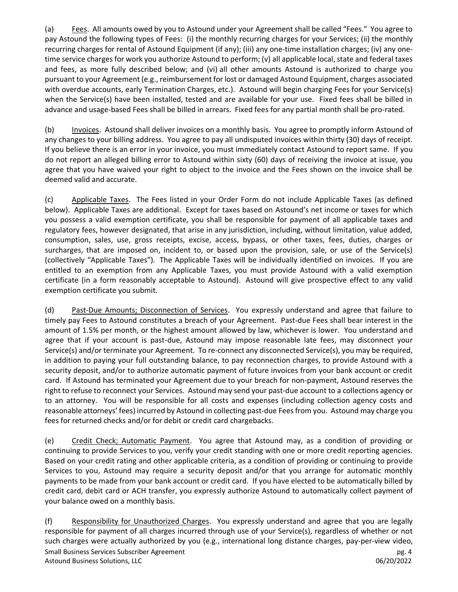(a) Fees. All amounts owed by you to Astound under your Agreementshall be called "Fees." You agree to pay Astound the following types of Fees: (i) the monthly recurring charges for your Services; (ii) the monthly recurring charges for rental of Astound Equipment (if any); (iii) any one-time installation charges; (iv) any onetime service charges for work you authorize Astound to perform; (v) all applicable local, state and federal taxes and fees, as more fully described below; and (vi) all other amounts Astound is authorized to charge you pursuant to your Agreement (e.g., reimbursement for lost or damaged Astound Equipment, charges associated with overdue accounts, early Termination Charges, etc.). Astound will begin charging Fees for your Service(s) when the Service(s) have been installed, tested and are available for your use. Fixed fees shall be billed in advance and usage-based Fees shall be billed in arrears. Fixed fees for any partial month shall be pro-rated.

(b) Invoices. Astound shall deliver invoices on a monthly basis. You agree to promptly inform Astound of any changes to your billing address. You agree to pay all undisputed invoices within thirty (30) days of receipt. If you believe there is an error in your invoice, you must immediately contact Astound to report same. If you do not report an alleged billing error to Astound within sixty (60) days of receiving the invoice at issue, you agree that you have waived your right to object to the invoice and the Fees shown on the invoice shall be deemed valid and accurate.

(c) Applicable Taxes. The Fees listed in your Order Form do not include Applicable Taxes (as defined below). Applicable Taxes are additional. Except for taxes based on Astound's net income or taxes for which you possess a valid exemption certificate, you shall be responsible for payment of all applicable taxes and regulatory fees, however designated, that arise in any jurisdiction, including, without limitation, value added, consumption, sales, use, gross receipts, excise, access, bypass, or other taxes, fees, duties, charges or surcharges, that are imposed on, incident to, or based upon the provision, sale, or use of the Service(s) (collectively "Applicable Taxes"). The Applicable Taxes will be individually identified on invoices. If you are entitled to an exemption from any Applicable Taxes, you must provide Astound with a valid exemption certificate (in a form reasonably acceptable to Astound). Astound will give prospective effect to any valid exemption certificate you submit.

(d) Past-Due Amounts; Disconnection of Services. You expressly understand and agree that failure to timely pay Fees to Astound constitutes a breach of your Agreement. Past-due Fees shall bear interest in the amount of 1.5% per month, or the highest amount allowed by law, whichever is lower. You understand and agree that if your account is past-due, Astound may impose reasonable late fees, may disconnect your Service(s) and/or terminate your Agreement. To re-connect any disconnected Service(s), you may be required, in addition to paying your full outstanding balance, to pay reconnection charges, to provide Astound with a security deposit, and/or to authorize automatic payment of future invoices from your bank account or credit card. If Astound has terminated your Agreement due to your breach for non-payment, Astound reserves the right to refuse to reconnect your Services. Astound may send your past-due account to a collections agency or to an attorney. You will be responsible for all costs and expenses (including collection agency costs and reasonable attorneys' fees) incurred by Astound in collecting past-due Fees from you. Astound may charge you fees for returned checks and/or for debit or credit card chargebacks.

(e) Credit Check; Automatic Payment. You agree that Astound may, as a condition of providing or continuing to provide Services to you, verify your credit standing with one or more credit reporting agencies. Based on your credit rating and other applicable criteria, as a condition of providing or continuing to provide Services to you, Astound may require a security deposit and/or that you arrange for automatic monthly payments to be made from your bank account or credit card. If you have elected to be automatically billed by credit card, debit card or ACH transfer, you expressly authorize Astound to automatically collect payment of your balance owed on a monthly basis.

Small Business Services Subscriber Agreement pg. 4 Astound Business Solutions, LLC 06/20/2022 (f) Responsibility for Unauthorized Charges. You expressly understand and agree that you are legally responsible for payment of all charges incurred through use of your Service(s), regardless of whether or not such charges were actually authorized by you (e.g., international long distance charges, pay-per-view video,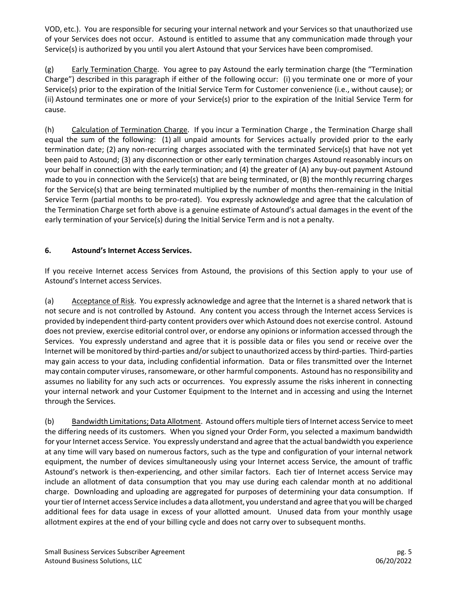VOD, etc.). You are responsible for securing your internal network and your Services so that unauthorized use of your Services does not occur. Astound is entitled to assume that any communication made through your Service(s) is authorized by you until you alert Astound that your Services have been compromised.

(g) Early Termination Charge. You agree to pay Astound the early termination charge (the "Termination Charge") described in this paragraph if either of the following occur: (i) you terminate one or more of your Service(s) prior to the expiration of the Initial Service Term for Customer convenience (i.e., without cause); or (ii) Astound terminates one or more of your Service(s) prior to the expiration of the Initial Service Term for cause.

(h) Calculation of Termination Charge. If you incur a Termination Charge , the Termination Charge shall equal the sum of the following: (1) all unpaid amounts for Services actually provided prior to the early termination date; (2) any non-recurring charges associated with the terminated Service(s) that have not yet been paid to Astound; (3) any disconnection or other early termination charges Astound reasonably incurs on your behalf in connection with the early termination; and (4) the greater of (A) any buy-out payment Astound made to you in connection with the Service(s) that are being terminated, or (B) the monthly recurring charges for the Service(s) that are being terminated multiplied by the number of months then-remaining in the Initial Service Term (partial months to be pro-rated). You expressly acknowledge and agree that the calculation of the Termination Charge set forth above is a genuine estimate of Astound's actual damages in the event of the early termination of your Service(s) during the Initial Service Term and is not a penalty.

### **6. Astound's Internet Access Services.**

If you receive Internet access Services from Astound, the provisions of this Section apply to your use of Astound's Internet access Services.

(a) Acceptance of Risk. You expressly acknowledge and agree that the Internet is a shared network that is not secure and is not controlled by Astound. Any content you access through the Internet access Services is provided by independent third-party content providers over which Astound does not exercise control. Astound does not preview, exercise editorial control over, or endorse any opinions or information accessed through the Services. You expressly understand and agree that it is possible data or files you send or receive over the Internet will be monitored by third-parties and/or subject to unauthorized access by third-parties. Third-parties may gain access to your data, including confidential information. Data or files transmitted over the Internet may contain computer viruses, ransomeware, or other harmful components. Astound has no responsibility and assumes no liability for any such acts or occurrences. You expressly assume the risks inherent in connecting your internal network and your Customer Equipment to the Internet and in accessing and using the Internet through the Services.

(b) Bandwidth Limitations; Data Allotment. Astound offers multiple tiers of Internet access Service to meet the differing needs of its customers. When you signed your Order Form, you selected a maximum bandwidth for your Internet access Service. You expressly understand and agree that the actual bandwidth you experience at any time will vary based on numerous factors, such as the type and configuration of your internal network equipment, the number of devices simultaneously using your Internet access Service, the amount of traffic Astound's network is then-experiencing, and other similar factors. Each tier of Internet access Service may include an allotment of data consumption that you may use during each calendar month at no additional charge. Downloading and uploading are aggregated for purposes of determining your data consumption. If your tier of Internet access Service includes a data allotment, you understand and agree that you will be charged additional fees for data usage in excess of your allotted amount. Unused data from your monthly usage allotment expires at the end of your billing cycle and does not carry over to subsequent months.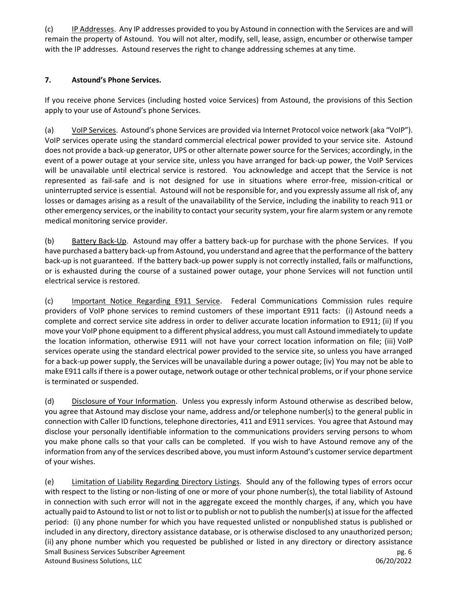(c) IP Addresses. Any IP addresses provided to you by Astound in connection with the Services are and will remain the property of Astound. You will not alter, modify, sell, lease, assign, encumber or otherwise tamper with the IP addresses. Astound reserves the right to change addressing schemes at any time.

#### **7. Astound's Phone Services.**

If you receive phone Services (including hosted voice Services) from Astound, the provisions of this Section apply to your use of Astound's phone Services.

(a) VoIP Services. Astound's phone Services are provided via Internet Protocol voice network (aka "VoIP"). VoIP services operate using the standard commercial electrical power provided to your service site. Astound does not provide a back-up generator, UPS or other alternate power source for the Services; accordingly, in the event of a power outage at your service site, unless you have arranged for back-up power, the VoIP Services will be unavailable until electrical service is restored. You acknowledge and accept that the Service is not represented as fail-safe and is not designed for use in situations where error-free, mission-critical or uninterrupted service is essential. Astound will not be responsible for, and you expressly assume all risk of, any losses or damages arising as a result of the unavailability of the Service, including the inability to reach 911 or other emergency services, or the inability to contact your security system, your fire alarm system or any remote medical monitoring service provider.

(b) Battery Back-Up. Astound may offer a battery back-up for purchase with the phone Services. If you have purchased a battery back-up from Astound, you understand and agree that the performance of the battery back-up is not guaranteed. If the battery back-up power supply is not correctly installed, fails or malfunctions, or is exhausted during the course of a sustained power outage, your phone Services will not function until electrical service is restored.

(c) Important Notice Regarding E911 Service. Federal Communications Commission rules require providers of VoIP phone services to remind customers of these important E911 facts: (i) Astound needs a complete and correct service site address in order to deliver accurate location information to E911; (ii) If you move your VoIP phone equipment to a different physical address, you must call Astound immediately to update the location information, otherwise E911 will not have your correct location information on file; (iii) VoIP services operate using the standard electrical power provided to the service site, so unless you have arranged for a back-up power supply, the Services will be unavailable during a power outage; (iv) You may not be able to make E911 calls if there is a power outage, network outage or other technical problems, or if your phone service is terminated or suspended.

(d) Disclosure of Your Information. Unless you expressly inform Astound otherwise as described below, you agree that Astound may disclose your name, address and/or telephone number(s) to the general public in connection with Caller ID functions, telephone directories, 411 and E911 services. You agree that Astound may disclose your personally identifiable information to the communications providers serving persons to whom you make phone calls so that your calls can be completed. If you wish to have Astound remove any of the information from any of the services described above, you must inform Astound's customer service department of your wishes.

Small Business Services Subscriber Agreement pg. 6 and pg. 6 pg. 6 pg. 6 pg. 6 pg. 6 pg. 6 pg. 6 pg. 6 pg. 6 pg. 6 pg. 6 pg. 6 pg. 6 pg. 6 pg. 6 pg. 6 pg. 6 pg. 6 pg. 6 pg. 6 pg. 6 pg. 6 pg. 6 pg. 6 pg. 6 pg. 6 pg. 6 pg. 6 Astound Business Solutions, LLC 06/20/2022 (e) Limitation of Liability Regarding Directory Listings. Should any of the following types of errors occur with respect to the listing or non-listing of one or more of your phone number(s), the total liability of Astound in connection with such error will not in the aggregate exceed the monthly charges, if any, which you have actually paid to Astound to list or not to list or to publish or not to publish the number(s) at issue for the affected period: (i) any phone number for which you have requested unlisted or nonpublished status is published or included in any directory, directory assistance database, or is otherwise disclosed to any unauthorized person; (ii) any phone number which you requested be published or listed in any directory or directory assistance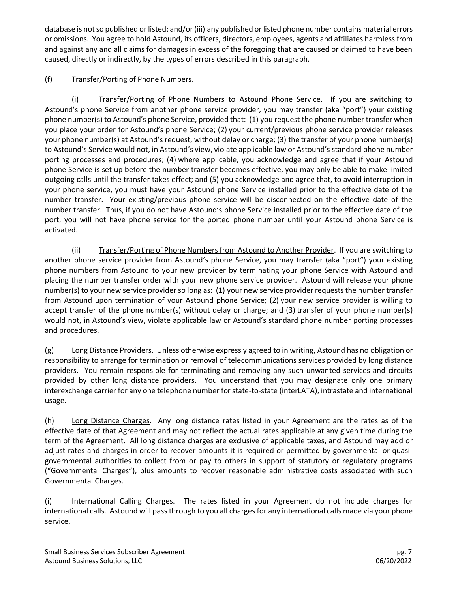database is not so published or listed; and/or (iii) any published or listed phone number contains material errors or omissions. You agree to hold Astound, its officers, directors, employees, agents and affiliates harmless from and against any and all claims for damages in excess of the foregoing that are caused or claimed to have been caused, directly or indirectly, by the types of errors described in this paragraph.

## (f) Transfer/Porting of Phone Numbers.

(i) Transfer/Porting of Phone Numbers to Astound Phone Service. If you are switching to Astound's phone Service from another phone service provider, you may transfer (aka "port") your existing phone number(s) to Astound's phone Service, provided that: (1) you request the phone number transfer when you place your order for Astound's phone Service; (2) your current/previous phone service provider releases your phone number(s) at Astound's request, without delay or charge; (3) the transfer of your phone number(s) to Astound's Service would not, in Astound's view, violate applicable law or Astound's standard phone number porting processes and procedures; (4) where applicable, you acknowledge and agree that if your Astound phone Service is set up before the number transfer becomes effective, you may only be able to make limited outgoing calls until the transfer takes effect; and (5) you acknowledge and agree that, to avoid interruption in your phone service, you must have your Astound phone Service installed prior to the effective date of the number transfer. Your existing/previous phone service will be disconnected on the effective date of the number transfer. Thus, if you do not have Astound's phone Service installed prior to the effective date of the port, you will not have phone service for the ported phone number until your Astound phone Service is activated.

(ii) Transfer/Porting of Phone Numbers from Astound to Another Provider. If you are switching to another phone service provider from Astound's phone Service, you may transfer (aka "port") your existing phone numbers from Astound to your new provider by terminating your phone Service with Astound and placing the number transfer order with your new phone service provider. Astound will release your phone number(s) to your new service provider so long as: (1) your new service provider requests the number transfer from Astound upon termination of your Astound phone Service; (2) your new service provider is willing to accept transfer of the phone number(s) without delay or charge; and (3) transfer of your phone number(s) would not, in Astound's view, violate applicable law or Astound's standard phone number porting processes and procedures.

(g) Long Distance Providers. Unless otherwise expressly agreed to in writing, Astound has no obligation or responsibility to arrange for termination or removal of telecommunications services provided by long distance providers. You remain responsible for terminating and removing any such unwanted services and circuits provided by other long distance providers. You understand that you may designate only one primary interexchange carrier for any one telephone number for state-to-state (interLATA), intrastate and international usage.

(h) Long Distance Charges. Any long distance rates listed in your Agreement are the rates as of the effective date of that Agreement and may not reflect the actual rates applicable at any given time during the term of the Agreement. All long distance charges are exclusive of applicable taxes, and Astound may add or adjust rates and charges in order to recover amounts it is required or permitted by governmental or quasigovernmental authorities to collect from or pay to others in support of statutory or regulatory programs ("Governmental Charges"), plus amounts to recover reasonable administrative costs associated with such Governmental Charges.

(i) International Calling Charges. The rates listed in your Agreement do not include charges for international calls. Astound will pass through to you all charges for any international calls made via your phone service.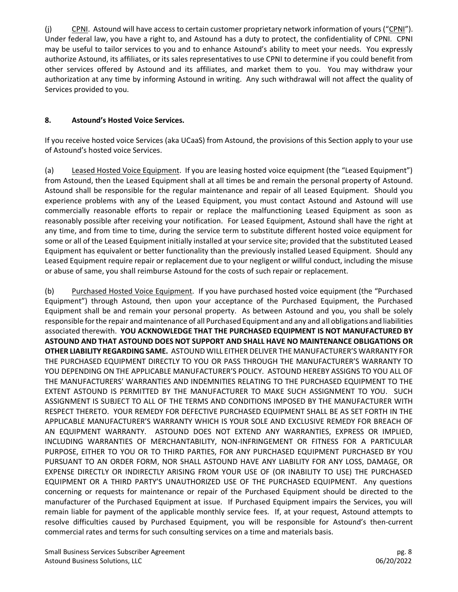(j) CPNI. Astound will have access to certain customer proprietary network information of yours ("CPNI"). Under federal law, you have a right to, and Astound has a duty to protect, the confidentiality of CPNI. CPNI may be useful to tailor services to you and to enhance Astound's ability to meet your needs. You expressly authorize Astound, its affiliates, or its sales representatives to use CPNI to determine if you could benefit from other services offered by Astound and its affiliates, and market them to you. You may withdraw your authorization at any time by informing Astound in writing. Any such withdrawal will not affect the quality of Services provided to you.

#### **8. Astound's Hosted Voice Services.**

If you receive hosted voice Services (aka UCaaS) from Astound, the provisions of this Section apply to your use of Astound's hosted voice Services.

(a) Leased Hosted Voice Equipment. If you are leasing hosted voice equipment (the "Leased Equipment") from Astound, then the Leased Equipment shall at all times be and remain the personal property of Astound. Astound shall be responsible for the regular maintenance and repair of all Leased Equipment. Should you experience problems with any of the Leased Equipment, you must contact Astound and Astound will use commercially reasonable efforts to repair or replace the malfunctioning Leased Equipment as soon as reasonably possible after receiving your notification. For Leased Equipment, Astound shall have the right at any time, and from time to time, during the service term to substitute different hosted voice equipment for some or all of the Leased Equipment initially installed at your service site; provided that the substituted Leased Equipment has equivalent or better functionality than the previously installed Leased Equipment. Should any Leased Equipment require repair or replacement due to your negligent or willful conduct, including the misuse or abuse of same, you shall reimburse Astound for the costs of such repair or replacement.

(b) Purchased Hosted Voice Equipment. If you have purchased hosted voice equipment (the "Purchased Equipment") through Astound, then upon your acceptance of the Purchased Equipment, the Purchased Equipment shall be and remain your personal property. As between Astound and you, you shall be solely responsible for the repair and maintenance of all Purchased Equipment and any and all obligations and liabilities associated therewith. **YOU ACKNOWLEDGE THAT THE PURCHASED EQUIPMENT IS NOT MANUFACTURED BY ASTOUND AND THAT ASTOUND DOES NOT SUPPORT AND SHALL HAVE NO MAINTENANCE OBLIGATIONS OR OTHER LIABILITY REGARDING SAME.** ASTOUND WILL EITHER DELIVER THE MANUFACTURER'S WARRANTY FOR THE PURCHASED EQUIPMENT DIRECTLY TO YOU OR PASS THROUGH THE MANUFACTURER'S WARRANTY TO YOU DEPENDING ON THE APPLICABLE MANUFACTURER'S POLICY. ASTOUND HEREBY ASSIGNS TO YOU ALL OF THE MANUFACTURERS' WARRANTIES AND INDEMNITIES RELATING TO THE PURCHASED EQUIPMENT TO THE EXTENT ASTOUND IS PERMITTED BY THE MANUFACTURER TO MAKE SUCH ASSIGNMENT TO YOU. SUCH ASSIGNMENT IS SUBJECT TO ALL OF THE TERMS AND CONDITIONS IMPOSED BY THE MANUFACTURER WITH RESPECT THERETO. YOUR REMEDY FOR DEFECTIVE PURCHASED EQUIPMENT SHALL BE AS SET FORTH IN THE APPLICABLE MANUFACTURER'S WARRANTY WHICH IS YOUR SOLE AND EXCLUSIVE REMEDY FOR BREACH OF AN EQUIPMENT WARRANTY. ASTOUND DOES NOT EXTEND ANY WARRANTIES, EXPRESS OR IMPLIED, INCLUDING WARRANTIES OF MERCHANTABILITY, NON-INFRINGEMENT OR FITNESS FOR A PARTICULAR PURPOSE, EITHER TO YOU OR TO THIRD PARTIES, FOR ANY PURCHASED EQUIPMENT PURCHASED BY YOU PURSUANT TO AN ORDER FORM, NOR SHALL ASTOUND HAVE ANY LIABILITY FOR ANY LOSS, DAMAGE, OR EXPENSE DIRECTLY OR INDIRECTLY ARISING FROM YOUR USE OF (OR INABILITY TO USE) THE PURCHASED EQUIPMENT OR A THIRD PARTY'S UNAUTHORIZED USE OF THE PURCHASED EQUIPMENT. Any questions concerning or requests for maintenance or repair of the Purchased Equipment should be directed to the manufacturer of the Purchased Equipment at issue. If Purchased Equipment impairs the Services, you will remain liable for payment of the applicable monthly service fees. If, at your request, Astound attempts to resolve difficulties caused by Purchased Equipment, you will be responsible for Astound's then-current commercial rates and terms for such consulting services on a time and materials basis.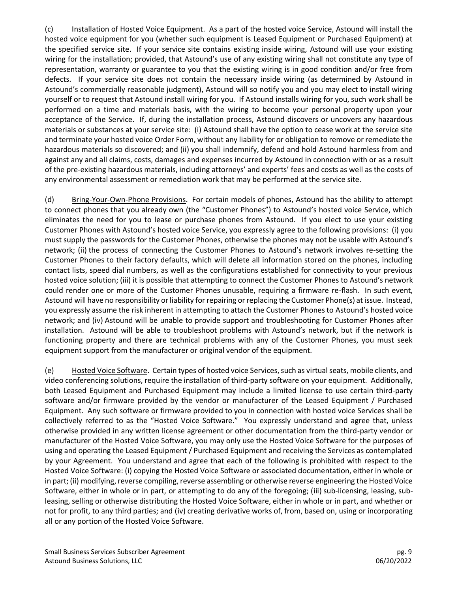(c) Installation of Hosted Voice Equipment. As a part of the hosted voice Service, Astound will install the hosted voice equipment for you (whether such equipment is Leased Equipment or Purchased Equipment) at the specified service site. If your service site contains existing inside wiring, Astound will use your existing wiring for the installation; provided, that Astound's use of any existing wiring shall not constitute any type of representation, warranty or guarantee to you that the existing wiring is in good condition and/or free from defects. If your service site does not contain the necessary inside wiring (as determined by Astound in Astound's commercially reasonable judgment), Astound will so notify you and you may elect to install wiring yourself or to request that Astound install wiring for you. If Astound installs wiring for you, such work shall be performed on a time and materials basis, with the wiring to become your personal property upon your acceptance of the Service. If, during the installation process, Astound discovers or uncovers any hazardous materials or substances at your service site: (i) Astound shall have the option to cease work at the service site and terminate your hosted voice Order Form, without any liability for or obligation to remove or remediate the hazardous materials so discovered; and (ii) you shall indemnify, defend and hold Astound harmless from and against any and all claims, costs, damages and expenses incurred by Astound in connection with or as a result of the pre-existing hazardous materials, including attorneys' and experts' fees and costs as well as the costs of any environmental assessment or remediation work that may be performed at the service site.

(d) Bring-Your-Own-Phone Provisions. For certain models of phones, Astound has the ability to attempt to connect phones that you already own (the "Customer Phones") to Astound's hosted voice Service, which eliminates the need for you to lease or purchase phones from Astound. If you elect to use your existing Customer Phones with Astound's hosted voice Service, you expressly agree to the following provisions: (i) you must supply the passwords for the Customer Phones, otherwise the phones may not be usable with Astound's network; (ii) the process of connecting the Customer Phones to Astound's network involves re-setting the Customer Phones to their factory defaults, which will delete all information stored on the phones, including contact lists, speed dial numbers, as well as the configurations established for connectivity to your previous hosted voice solution; (iii) it is possible that attempting to connect the Customer Phones to Astound's network could render one or more of the Customer Phones unusable, requiring a firmware re-flash. In such event, Astound will have no responsibility or liability for repairing or replacing the Customer Phone(s) at issue. Instead, you expressly assume the risk inherent in attempting to attach the Customer Phones to Astound's hosted voice network; and (iv) Astound will be unable to provide support and troubleshooting for Customer Phones after installation. Astound will be able to troubleshoot problems with Astound's network, but if the network is functioning property and there are technical problems with any of the Customer Phones, you must seek equipment support from the manufacturer or original vendor of the equipment.

(e) Hosted Voice Software. Certain types of hosted voice Services, such as virtual seats, mobile clients, and video conferencing solutions, require the installation of third-party software on your equipment. Additionally, both Leased Equipment and Purchased Equipment may include a limited license to use certain third-party software and/or firmware provided by the vendor or manufacturer of the Leased Equipment / Purchased Equipment. Any such software or firmware provided to you in connection with hosted voice Services shall be collectively referred to as the "Hosted Voice Software." You expressly understand and agree that, unless otherwise provided in any written license agreement or other documentation from the third-party vendor or manufacturer of the Hosted Voice Software, you may only use the Hosted Voice Software for the purposes of using and operating the Leased Equipment / Purchased Equipment and receiving the Services as contemplated by your Agreement. You understand and agree that each of the following is prohibited with respect to the Hosted Voice Software: (i) copying the Hosted Voice Software or associated documentation, either in whole or in part; (ii) modifying, reverse compiling, reverse assembling or otherwise reverse engineering the Hosted Voice Software, either in whole or in part, or attempting to do any of the foregoing; (iii) sub-licensing, leasing, subleasing, selling or otherwise distributing the Hosted Voice Software, either in whole or in part, and whether or not for profit, to any third parties; and (iv) creating derivative works of, from, based on, using or incorporating all or any portion of the Hosted Voice Software.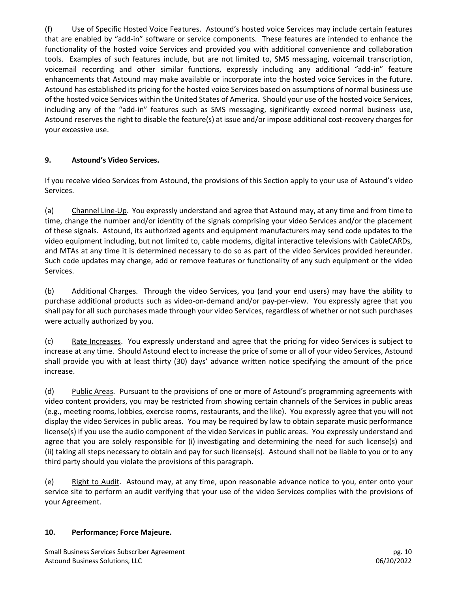(f) Use of Specific Hosted Voice Features. Astound's hosted voice Services may include certain features that are enabled by "add-in" software or service components. These features are intended to enhance the functionality of the hosted voice Services and provided you with additional convenience and collaboration tools. Examples of such features include, but are not limited to, SMS messaging, voicemail transcription, voicemail recording and other similar functions, expressly including any additional "add-in" feature enhancements that Astound may make available or incorporate into the hosted voice Services in the future. Astound has established its pricing for the hosted voice Services based on assumptions of normal business use of the hosted voice Services within the United States of America. Should your use of the hosted voice Services, including any of the "add-in" features such as SMS messaging, significantly exceed normal business use, Astound reserves the right to disable the feature(s) at issue and/or impose additional cost-recovery charges for your excessive use.

## **9. Astound's Video Services.**

If you receive video Services from Astound, the provisions of this Section apply to your use of Astound's video Services.

(a) Channel Line-Up. You expressly understand and agree that Astound may, at any time and from time to time, change the number and/or identity of the signals comprising your video Services and/or the placement of these signals. Astound, its authorized agents and equipment manufacturers may send code updates to the video equipment including, but not limited to, cable modems, digital interactive televisions with CableCARDs, and MTAs at any time it is determined necessary to do so as part of the video Services provided hereunder. Such code updates may change, add or remove features or functionality of any such equipment or the video Services.

(b) Additional Charges. Through the video Services, you (and your end users) may have the ability to purchase additional products such as video-on-demand and/or pay-per-view. You expressly agree that you shall pay for all such purchases made through your video Services, regardless of whether or not such purchases were actually authorized by you.

(c) Rate Increases. You expressly understand and agree that the pricing for video Services is subject to increase at any time. Should Astound elect to increase the price of some or all of your video Services, Astound shall provide you with at least thirty (30) days' advance written notice specifying the amount of the price increase.

(d) Public Areas. Pursuant to the provisions of one or more of Astound's programming agreements with video content providers, you may be restricted from showing certain channels of the Services in public areas (e.g., meeting rooms, lobbies, exercise rooms, restaurants, and the like). You expressly agree that you will not display the video Services in public areas. You may be required by law to obtain separate music performance license(s) if you use the audio component of the video Services in public areas. You expressly understand and agree that you are solely responsible for (i) investigating and determining the need for such license(s) and (ii) taking all steps necessary to obtain and pay for such license(s). Astound shall not be liable to you or to any third party should you violate the provisions of this paragraph.

(e) Right to Audit. Astound may, at any time, upon reasonable advance notice to you, enter onto your service site to perform an audit verifying that your use of the video Services complies with the provisions of your Agreement.

## **10. Performance; Force Majeure.**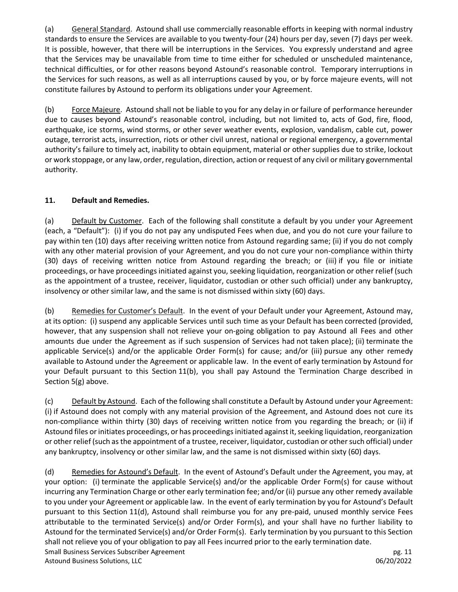(a) General Standard. Astound shall use commercially reasonable efforts in keeping with normal industry standards to ensure the Services are available to you twenty-four (24) hours per day, seven (7) days per week. It is possible, however, that there will be interruptions in the Services. You expressly understand and agree that the Services may be unavailable from time to time either for scheduled or unscheduled maintenance, technical difficulties, or for other reasons beyond Astound's reasonable control. Temporary interruptions in the Services for such reasons, as well as all interruptions caused by you, or by force majeure events, will not constitute failures by Astound to perform its obligations under your Agreement.

(b) Force Majeure. Astound shall not be liable to you for any delay in or failure of performance hereunder due to causes beyond Astound's reasonable control, including, but not limited to, acts of God, fire, flood, earthquake, ice storms, wind storms, or other sever weather events, explosion, vandalism, cable cut, power outage, terrorist acts, insurrection, riots or other civil unrest, national or regional emergency, a governmental authority's failure to timely act, inability to obtain equipment, material or other supplies due to strike, lockout or work stoppage, or any law, order, regulation, direction, action or request of any civil or military governmental authority.

### **11. Default and Remedies.**

(a) Default by Customer. Each of the following shall constitute a default by you under your Agreement (each, a "Default"): (i) if you do not pay any undisputed Fees when due, and you do not cure your failure to pay within ten (10) days after receiving written notice from Astound regarding same; (ii) if you do not comply with any other material provision of your Agreement, and you do not cure your non-compliance within thirty (30) days of receiving written notice from Astound regarding the breach; or (iii) if you file or initiate proceedings, or have proceedings initiated against you, seeking liquidation, reorganization or other relief (such as the appointment of a trustee, receiver, liquidator, custodian or other such official) under any bankruptcy, insolvency or other similar law, and the same is not dismissed within sixty (60) days.

(b) Remedies for Customer's Default. In the event of your Default under your Agreement, Astound may, at its option: (i) suspend any applicable Services until such time as your Default has been corrected (provided, however, that any suspension shall not relieve your on-going obligation to pay Astound all Fees and other amounts due under the Agreement as if such suspension of Services had not taken place); (ii) terminate the applicable Service(s) and/or the applicable Order Form(s) for cause; and/or (iii) pursue any other remedy available to Astound under the Agreement or applicable law. In the event of early termination by Astound for your Default pursuant to this Section 11(b), you shall pay Astound the Termination Charge described in Section 5(g) above.

(c) Default by Astound. Each of the following shall constitute a Default by Astound under your Agreement: (i) if Astound does not comply with any material provision of the Agreement, and Astound does not cure its non-compliance within thirty (30) days of receiving written notice from you regarding the breach; or (ii) if Astound files or initiates proceedings, or has proceedings initiated against it, seeking liquidation, reorganization or other relief (such as the appointment of a trustee, receiver, liquidator, custodian or other such official) under any bankruptcy, insolvency or other similar law, and the same is not dismissed within sixty (60) days.

Small Business Services Subscriber Agreement pg. 11 Astound Business Solutions, LLC 06/20/2022 (d) Remedies for Astound's Default. In the event of Astound's Default under the Agreement, you may, at your option: (i) terminate the applicable Service(s) and/or the applicable Order Form(s) for cause without incurring any Termination Charge or other early termination fee; and/or (ii) pursue any other remedy available to you under your Agreement or applicable law. In the event of early termination by you for Astound's Default pursuant to this Section 11(d), Astound shall reimburse you for any pre-paid, unused monthly service Fees attributable to the terminated Service(s) and/or Order Form(s), and your shall have no further liability to Astound for the terminated Service(s) and/or Order Form(s). Early termination by you pursuant to this Section shall not relieve you of your obligation to pay all Fees incurred prior to the early termination date.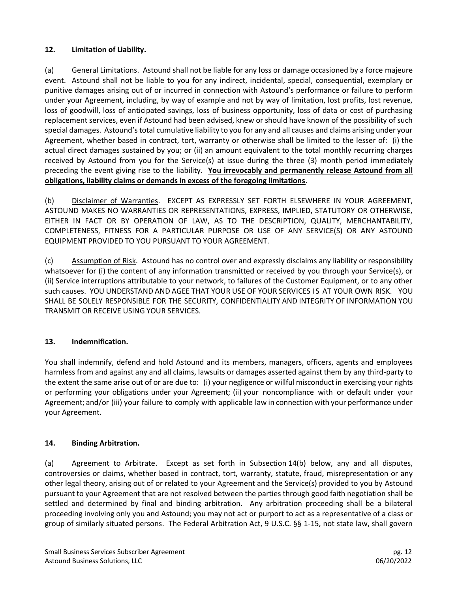### **12. Limitation of Liability.**

(a) General Limitations. Astound shall not be liable for any loss or damage occasioned by a force majeure event. Astound shall not be liable to you for any indirect, incidental, special, consequential, exemplary or punitive damages arising out of or incurred in connection with Astound's performance or failure to perform under your Agreement, including, by way of example and not by way of limitation, lost profits, lost revenue, loss of goodwill, loss of anticipated savings, loss of business opportunity, loss of data or cost of purchasing replacement services, even if Astound had been advised, knew or should have known of the possibility of such special damages. Astound's total cumulative liability to you for any and all causes and claims arising under your Agreement, whether based in contract, tort, warranty or otherwise shall be limited to the lesser of: (i) the actual direct damages sustained by you; or (ii) an amount equivalent to the total monthly recurring charges received by Astound from you for the Service(s) at issue during the three (3) month period immediately preceding the event giving rise to the liability. **You irrevocably and permanently release Astound from all obligations, liability claims or demands in excess of the foregoing limitations**.

(b) Disclaimer of Warranties. EXCEPT AS EXPRESSLY SET FORTH ELSEWHERE IN YOUR AGREEMENT, ASTOUND MAKES NO WARRANTIES OR REPRESENTATIONS, EXPRESS, IMPLIED, STATUTORY OR OTHERWISE, EITHER IN FACT OR BY OPERATION OF LAW, AS TO THE DESCRIPTION, QUALITY, MERCHANTABILITY, COMPLETENESS, FITNESS FOR A PARTICULAR PURPOSE OR USE OF ANY SERVICE(S) OR ANY ASTOUND EQUIPMENT PROVIDED TO YOU PURSUANT TO YOUR AGREEMENT.

(c) Assumption of Risk. Astound has no control over and expressly disclaims any liability or responsibility whatsoever for (i) the content of any information transmitted or received by you through your Service(s), or (ii) Service interruptions attributable to your network, to failures of the Customer Equipment, or to any other such causes. YOU UNDERSTAND AND AGEE THAT YOUR USE OF YOUR SERVICES IS AT YOUR OWN RISK. YOU SHALL BE SOLELY RESPONSIBLE FOR THE SECURITY, CONFIDENTIALITY AND INTEGRITY OF INFORMATION YOU TRANSMIT OR RECEIVE USING YOUR SERVICES.

## **13. Indemnification.**

You shall indemnify, defend and hold Astound and its members, managers, officers, agents and employees harmless from and against any and all claims, lawsuits or damages asserted against them by any third-party to the extent the same arise out of or are due to: (i) your negligence or willful misconduct in exercising your rights or performing your obligations under your Agreement; (ii) your noncompliance with or default under your Agreement; and/or (iii) your failure to comply with applicable law in connection with your performance under your Agreement.

#### **14. Binding Arbitration.**

(a) Agreement to Arbitrate. Except as set forth in Subsection 14(b) below, any and all disputes, controversies or claims, whether based in contract, tort, warranty, statute, fraud, misrepresentation or any other legal theory, arising out of or related to your Agreement and the Service(s) provided to you by Astound pursuant to your Agreement that are not resolved between the parties through good faith negotiation shall be settled and determined by final and binding arbitration. Any arbitration proceeding shall be a bilateral proceeding involving only you and Astound; you may not act or purport to act as a representative of a class or group of similarly situated persons. The Federal Arbitration Act, 9 U.S.C. §§ 1-15, not state law, shall govern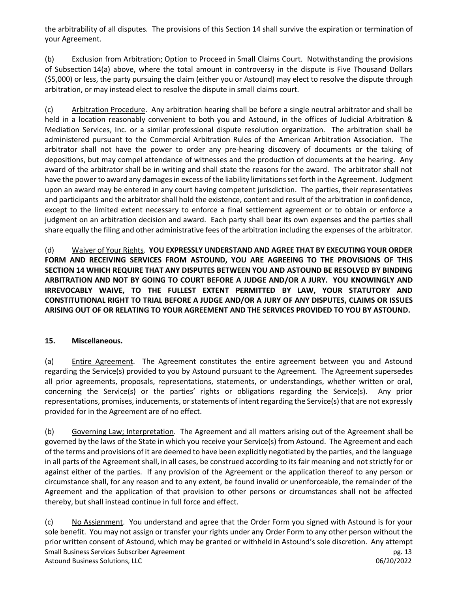the arbitrability of all disputes. The provisions of this Section 14 shall survive the expiration or termination of your Agreement.

(b) Exclusion from Arbitration; Option to Proceed in Small Claims Court. Notwithstanding the provisions of Subsection 14(a) above, where the total amount in controversy in the dispute is Five Thousand Dollars (\$5,000) or less, the party pursuing the claim (either you or Astound) may elect to resolve the dispute through arbitration, or may instead elect to resolve the dispute in small claims court.

(c) Arbitration Procedure. Any arbitration hearing shall be before a single neutral arbitrator and shall be held in a location reasonably convenient to both you and Astound, in the offices of Judicial Arbitration & Mediation Services, Inc. or a similar professional dispute resolution organization. The arbitration shall be administered pursuant to the Commercial Arbitration Rules of the American Arbitration Association. The arbitrator shall not have the power to order any pre-hearing discovery of documents or the taking of depositions, but may compel attendance of witnesses and the production of documents at the hearing. Any award of the arbitrator shall be in writing and shall state the reasons for the award. The arbitrator shall not have the power to award any damages in excess of the liability limitations set forth in the Agreement. Judgment upon an award may be entered in any court having competent jurisdiction. The parties, their representatives and participants and the arbitrator shall hold the existence, content and result of the arbitration in confidence, except to the limited extent necessary to enforce a final settlement agreement or to obtain or enforce a judgment on an arbitration decision and award. Each party shall bear its own expenses and the parties shall share equally the filing and other administrative fees of the arbitration including the expenses of the arbitrator.

(d) Waiver of Your Rights. **YOU EXPRESSLY UNDERSTAND AND AGREE THAT BY EXECUTING YOUR ORDER FORM AND RECEIVING SERVICES FROM ASTOUND, YOU ARE AGREEING TO THE PROVISIONS OF THIS SECTION 14 WHICH REQUIRE THAT ANY DISPUTES BETWEEN YOU AND ASTOUND BE RESOLVED BY BINDING ARBITRATION AND NOT BY GOING TO COURT BEFORE A JUDGE AND/OR A JURY. YOU KNOWINGLY AND IRREVOCABLY WAIVE, TO THE FULLEST EXTENT PERMITTED BY LAW, YOUR STATUTORY AND CONSTITUTIONAL RIGHT TO TRIAL BEFORE A JUDGE AND/OR A JURY OF ANY DISPUTES, CLAIMS OR ISSUES ARISING OUT OF OR RELATING TO YOUR AGREEMENT AND THE SERVICES PROVIDED TO YOU BY ASTOUND.** 

#### **15. Miscellaneous.**

(a) Entire Agreement. The Agreement constitutes the entire agreement between you and Astound regarding the Service(s) provided to you by Astound pursuant to the Agreement. The Agreement supersedes all prior agreements, proposals, representations, statements, or understandings, whether written or oral, concerning the Service(s) or the parties' rights or obligations regarding the Service(s). Any prior representations, promises, inducements, or statements of intent regarding the Service(s) that are not expressly provided for in the Agreement are of no effect.

(b) Governing Law; Interpretation. The Agreement and all matters arising out of the Agreement shall be governed by the laws of the State in which you receive your Service(s) from Astound. The Agreement and each of the terms and provisions of it are deemed to have been explicitly negotiated by the parties, and the language in all parts of the Agreement shall, in all cases, be construed according to its fair meaning and not strictly for or against either of the parties. If any provision of the Agreement or the application thereof to any person or circumstance shall, for any reason and to any extent, be found invalid or unenforceable, the remainder of the Agreement and the application of that provision to other persons or circumstances shall not be affected thereby, but shall instead continue in full force and effect.

Small Business Services Subscriber Agreement pg. 13 Astound Business Solutions, LLC 06/20/2022 (c) No Assignment. You understand and agree that the Order Form you signed with Astound is for your sole benefit. You may not assign or transfer your rights under any Order Form to any other person without the prior written consent of Astound, which may be granted or withheld in Astound's sole discretion. Any attempt